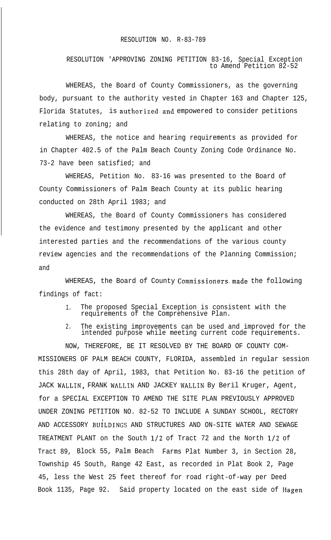## RESOLUTION NO. R-83-789

RESOLUTION 'APPROVING ZONING PETITION 83-16, Special Exception to Amend Petition 82-52

WHEREAS, the Board of County Commissioners, as the governing body, pursuant to the authority vested in Chapter 163 and Chapter 125, Florida Statutes, is authorized.and empowered to consider petitions relating to zoning; and

WHEREAS, the notice and hearing requirements as provided for in Chapter 402.5 of the Palm Beach County Zoning Code Ordinance No. 73-2 have been satisfied; and

WHEREAS, Petition No. 83-16 was presented to the Board of County Commissioners of Palm Beach County at its public hearing conducted on 28th April 1983; and

WHEREAS, the Board of County Commissioners has considered the evidence and testimony presented by the applicant and other interested parties and the recommendations of the various county review agencies and the recommendations of the Planning Commission; and

WHEREAS, the Board of County Commissioners.made the following findings of fact:

- 1. The proposed Special Exception is consistent with the requirements of the Comprehensive Plan.
- 2. The existing improvements can be used and improved for the intended purpose while meeting current code requirements.

NOW, THEREFORE, BE IT RESOLVED BY THE BOARD OF COUNTY COM-MISSIONERS OF PALM BEACH COUNTY, FLORIDA, assembled in regular session this 28th day of April, 1983, that Petition No. 83-16 the petition of JACK WALLIN, FRANK WALLIN AND JACKEY WALLIN By Beril Kruger, Agent, for a SPECIAL EXCEPTION TO AMEND THE SITE PLAN PREVIOUSLY APPROVED UNDER ZONING PETITION NO. 82-52 TO INCLUDE A SUNDAY SCHOOL, RECTORY AND ACCESSORY BUILDINGS AND STRUCTURES AND ON-SITE WATER AND SEWAGE TREATMENT PLANT on the South l/2 of Tract 72 and the North l/2 of Tract 89, Block 55, Palm Beach Farms Plat Number 3, in Section 28, Township 45 South, Range 42 East, as recorded in Plat Book 2, Page 45, less the West 25 feet thereof for road right-of-way per Deed Book 1135, Page 92. Said property located on the east side of Hagen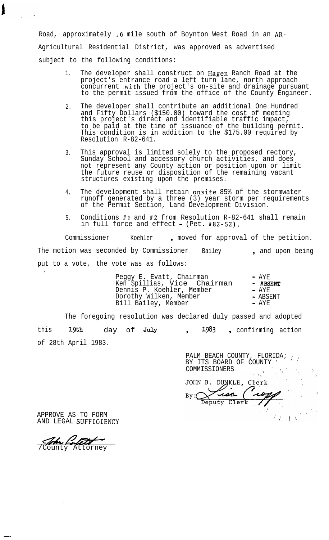Road, approximately .6 mile south of Boynton West Road in an AR-Agricultural Residential District, was approved as advertised subject to the following conditions:

- 1. The developer shall construct on Hagen Ranch Road at the project's entrance road a left turn lane, north approach concurrent .with the project's on-site and drainage pursuant to the permit issued from the office of the County Engineer.
- 2. The developer shall contribute an additional One Hundred and Fifty Dollars (\$150.00) toward the cost of meeting this project's direct and identifiable traffic impact, to be paid at the time of issuance of the building permit. This condition is in addition to the \$175.00 required by Resolution R-82-641.
- 3. This approval is limited solely to the proposed rectory, Sunday School and accessory church activities, and does not represent any County action or position upon or limit the future reuse or disposition of the remaining vacant structures existing upon the premises.
- 4. The development shall retain onsite 85% of the stormwater runoff generated by a three (3) year storm per requirements of the Permit Section, Land Development Division.
- 5. Conditions #l and #2 from Resolution R-82-641 shall remain in full force and effect - (Pet. #82-52).

Commissioner Koehler, moved for approval of the petition. The motion was seconded by Commissioner Bailey 1, and upon being put to a vote, the vote was as follows: ,

| Peggy E. Evatt, Chairman     | $- AYF.$ |
|------------------------------|----------|
| Ken Spillias, Vice  Chairman | - ABSENT |
| Dennis P. Koehler, Member    | $- AYF$  |
| Dorothy Wilken, Member       | - ABSENT |
| Bill Bailey, Member          | - AYE    |
|                              |          |

The foregoing resolution was declared duly passed and adopted this 19th day of July of 28th April 1983. 1983, confirming action

> PALM BEACH COUNTY, FLORIDA;  $\frac{1}{2}$ BY ITS BOARD OF COUNTY ' ' COMMISSIONERS $\mathbb{R} \rightarrow \mathbb{R}$

JOHN B. DUNKLE, Clerk usa حد Deputy Clerk

 $\mathbb{E}[\nabla \mathcal{N}]$ 

APPROVE AS TO FORM AND LEGAL SUFFICIENCY

/County Attorney